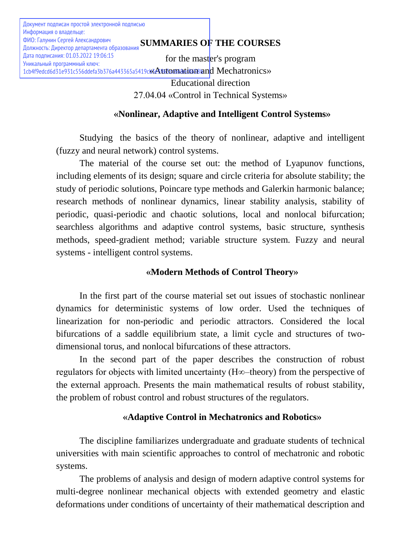# **SUMMARIES OF THE COURSES** ФИО: Галунин Сергей Александрович

for the master's program 1cb4f9edcd6d31e931c556ddefa3b376a443365a5419ck3Automaticanamdd Mechatronics» Educational direction 27.04.04 «Control in Technical Systems»

# **«Nonlinear, Adaptive and Intelligent Control Systems»**

Studying the basics of the theory of nonlinear, adaptive and intelligent (fuzzy and neural network) control systems.

The material of the course set out: the method of Lyapunov functions, including elements of its design; square and circle criteria for absolute stability; the study of periodic solutions, Poincare type methods and Galerkin harmonic balance; research methods of nonlinear dynamics, linear stability analysis, stability of periodic, quasi-periodic and chaotic solutions, local and nonlocal bifurcation; searchless algorithms and adaptive control systems, basic structure, synthesis methods, speed-gradient method; variable structure system. Fuzzy and neural systems - intelligent control systems.

# **«Modern Methods of Control Theory»**

In the first part of the course material set out issues of stochastic nonlinear dynamics for deterministic systems of low order. Used the techniques of linearization for non-periodic and periodic attractors. Considered the local bifurcations of a saddle equilibrium state, a limit cycle and structures of twodimensional torus, and nonlocal bifurcations of these attractors.

In the second part of the paper describes the construction of robust regulators for objects with limited uncertainty (H∞–theory) from the perspective of the external approach. Presents the main mathematical results of robust stability, the problem of robust control and robust structures of the regulators.

# **«Adaptive Control in Mechatronics and Robotics»**

The discipline familiarizes undergraduate and graduate students of technical universities with main scientific approaches to control of mechatronic and robotic systems.

The problems of analysis and design of modern adaptive control systems for multi-degree nonlinear mechanical objects with extended geometry and elastic deformations under conditions of uncertainty of their mathematical description and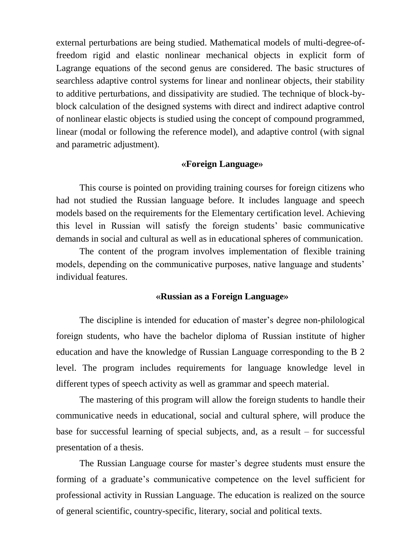external perturbations are being studied. Mathematical models of multi-degree-offreedom rigid and elastic nonlinear mechanical objects in explicit form of Lagrange equations of the second genus are considered. The basic structures of searchless adaptive control systems for linear and nonlinear objects, their stability to additive perturbations, and dissipativity are studied. The technique of block-byblock calculation of the designed systems with direct and indirect adaptive control of nonlinear elastic objects is studied using the concept of compound programmed, linear (modal or following the reference model), and adaptive control (with signal and parametric adjustment).

#### **«Foreign Language»**

This course is pointed on providing training courses for foreign citizens who had not studied the Russian language before. It includes language and speech models based on the requirements for the Еlementary certification level. Achieving this level in Russian will satisfy the foreign students' basic communicative demands in social and cultural as well as in educational spheres of communication.

The content of the program involves implementation of flexible training models, depending on the communicative purposes, native language and students' individual features.

#### **«Russian as a Foreign Language»**

The discipline is intended for education of master's degree non-philological foreign students, who have the bachelor diploma of Russian institute of higher education and have the knowledge of Russian Language corresponding to the B 2 level. The program includes requirements for language knowledge level in different types of speech activity as well as grammar and speech material.

The mastering of this program will allow the foreign students to handle their communicative needs in educational, social and cultural sphere, will produce the base for successful learning of special subjects, and, as a result – for successful presentation of a thesis.

The Russian Language course for master's degree students must ensure the forming of a graduate's communicative competence on the level sufficient for professional activity in Russian Language. The education is realized on the source of general scientific, country-specific, literary, social and political texts.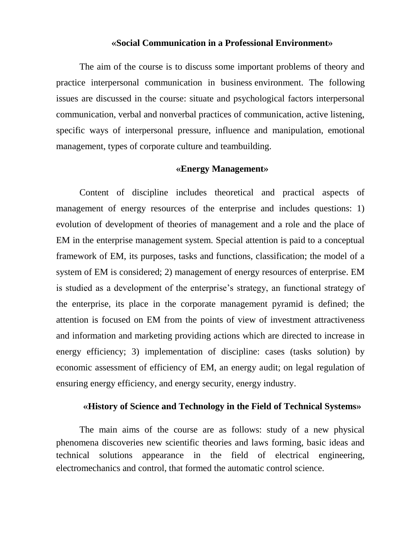#### **«Social Communication in a Professional Environment»**

The aim of the course is to discuss some important problems of theory and practice interpersonal communication in business environment. The following issues are discussed in the course: situate and psychological factors interpersonal communication, verbal and nonverbal practices of communication, active listening, specific ways of interpersonal pressure, influence and manipulation, emotional management, types of corporate culture and teambuilding.

#### **«Energy Management»**

Content of discipline includes theoretical and practical aspects of management of energy resources of the enterprise and includes questions: 1) evolution of development of theories of management and a role and the place of EM in the enterprise management system. Special attention is paid to a conceptual framework of EM, its purposes, tasks and functions, classification; the model of a system of EM is considered; 2) management of energy resources of enterprise. EM is studied as a development of the enterprise's strategy, an functional strategy of the enterprise, its place in the corporate management pyramid is defined; the attention is focused on EM from the points of view of investment attractiveness and information and marketing providing actions which are directed to increase in energy efficiency; 3) implementation of discipline: cases (tasks solution) by economic assessment of efficiency of EM, an energy audit; on legal regulation of ensuring energy efficiency, and energy security, energy industry.

### **«History of Science and Technology in the Field of Technical Systems»**

The main aims of the course are as follows: study of a new physical phenomena discoveries new scientific theories and laws forming, basic ideas and technical solutions appearance in the field of electrical engineering, electromechanics and control, that formed the automatic control science.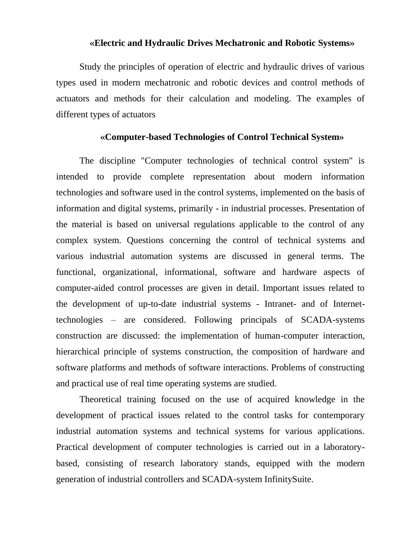#### **«Electric and Hydraulic Drives Mechatronic and Robotic Systems»**

Study the principles of operation of electric and hydraulic drives of various types used in modern mechatronic and robotic devices and control methods of actuators and methods for their calculation and modeling. The examples of different types of actuators

#### **«Computer-based Technologies of Control Technical System»**

The discipline "Computer technologies of technical control system" is intended to provide complete representation about modern information technologies and software used in the control systems, implemented on the basis of information and digital systems, primarily - in industrial processes. Presentation of the material is based on universal regulations applicable to the control of any complex system. Questions concerning the control of technical systems and various industrial automation systems are discussed in general terms. The functional, organizational, informational, software and hardware aspects of computer-aided control processes are given in detail. Important issues related to the development of up-to-date industrial systems - Intranet- and of Internettechnologies – are considered. Following principals of SCADA-systems construction are discussed: the implementation of human-computer interaction, hierarchical principle of systems construction, the composition of hardware and software platforms and methods of software interactions. Problems of constructing and practical use of real time operating systems are studied.

Theoretical training focused on the use of acquired knowledge in the development of practical issues related to the control tasks for contemporary industrial automation systems and technical systems for various applications. Practical development of computer technologies is carried out in a laboratorybased, consisting of research laboratory stands, equipped with the modern generation of industrial controllers and SCADA-system InfinitySuite.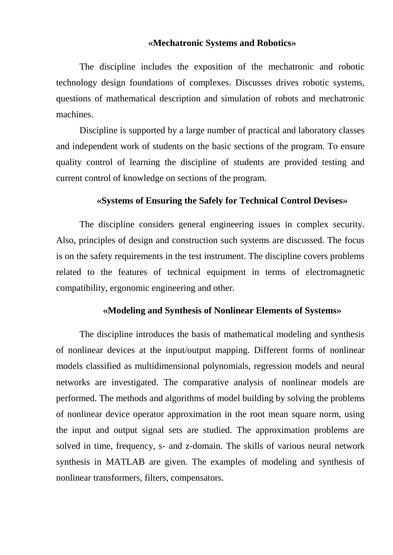#### **«Mechatronic Systems and Robotics»**

The discipline includes the exposition of the mechatronic and robotic technology design foundations of complexes. Discusses drives robotic systems, questions of mathematical description and simulation of robots and mechatronic machines.

Discipline is supported by a large number of practical and laboratory classes and independent work of students on the basic sections of the program. To ensure quality control of learning the discipline of students are provided testing and current control of knowledge on sections of the program.

#### **«Systems of Ensuring the Safely for Technical Control Devises»**

The discipline considers general engineering issues in complex security. Also, principles of design and construction such systems are discussed. The focus is on the safety requirements in the test instrument. The discipline covers problems related to the features of technical equipment in terms of electromagnetic compatibility, ergonomic engineering and other.

#### **«Modeling and Synthesis of Nonlinear Elements of Systems»**

The discipline introduces the basis of mathematical modeling and synthesis of nonlinear devices at the input/output mapping. Different forms of nonlinear models classified as multidimensional polynomials, regression models and neural networks are investigated. The comparative analysis of nonlinear models are performed. The methods and algorithms of model building by solving the problems of nonlinear device operator approximation in the root mean square norm, using the input and output signal sets are studied. The approximation problems are solved in time, frequency, s- and z-domain. The skills of various neural network synthesis in MATLAB are given. The examples of modeling and synthesis of nonlinear transformers, filters, compensators.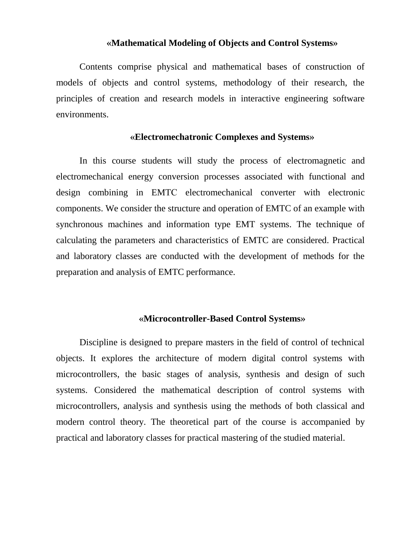#### **«Mathematical Modeling of Objects and Control Systems»**

Contents comprise physical and mathematical bases of construction of models of objects and control systems, methodology of their research, the principles of creation and research models in interactive engineering software environments.

#### **«Electromechatronic Complexes and Systems»**

In this course students will study the process of electromagnetic and electromechanical energy conversion processes associated with functional and design combining in EMTС electromechanical converter with electronic components. We consider the structure and operation of EMTC of an example with synchronous machines and information type EMT systems. The technique of calculating the parameters and characteristics of EMTC are considered. Practical and laboratory classes are conducted with the development of methods for the preparation and analysis of EMTC performance.

#### **«Microcontroller-Based Control Systems»**

Discipline is designed to prepare masters in the field of control of technical objects. It explores the architecture of modern digital control systems with microcontrollers, the basic stages of analysis, synthesis and design of such systems. Considered the mathematical description of control systems with microcontrollers, analysis and synthesis using the methods of both classical and modern control theory. The theoretical part of the course is accompanied by practical and laboratory classes for practical mastering of the studied material.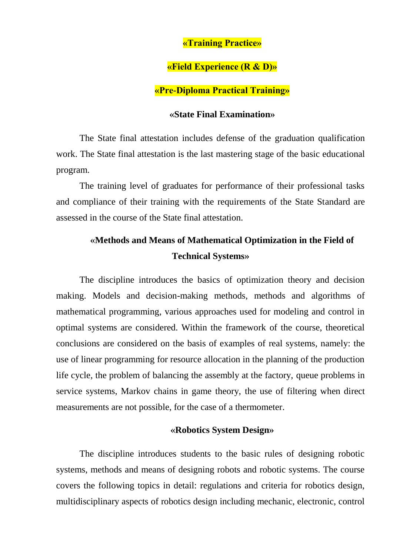### **«Training Practice»**

### **«Field Experience (R & D)»**

#### **«Pre-Diploma Practical Training»**

### **«State Final Examination»**

The State final attestation includes defense of the graduation qualification work. The State final attestation is the last mastering stage of the basic educational program.

The training level of graduates for performance of their professional tasks and compliance of their training with the requirements of the State Standard are assessed in the course of the State final attestation.

# **«Methods and Means of Mathematical Optimization in the Field of Technical Systems»**

The discipline introduces the basics of optimization theory and decision making. Models and decision-making methods, methods and algorithms of mathematical programming, various approaches used for modeling and control in optimal systems are considered. Within the framework of the course, theoretical conclusions are considered on the basis of examples of real systems, namely: the use of linear programming for resource allocation in the planning of the production life cycle, the problem of balancing the assembly at the factory, queue problems in service systems, Markov chains in game theory, the use of filtering when direct measurements are not possible, for the case of a thermometer.

#### **«Robotics System Design»**

The discipline introduces students to the basic rules of designing robotic systems, methods and means of designing robots and robotic systems. The course covers the following topics in detail: regulations and criteria for robotics design, multidisciplinary aspects of robotics design including mechanic, electronic, control